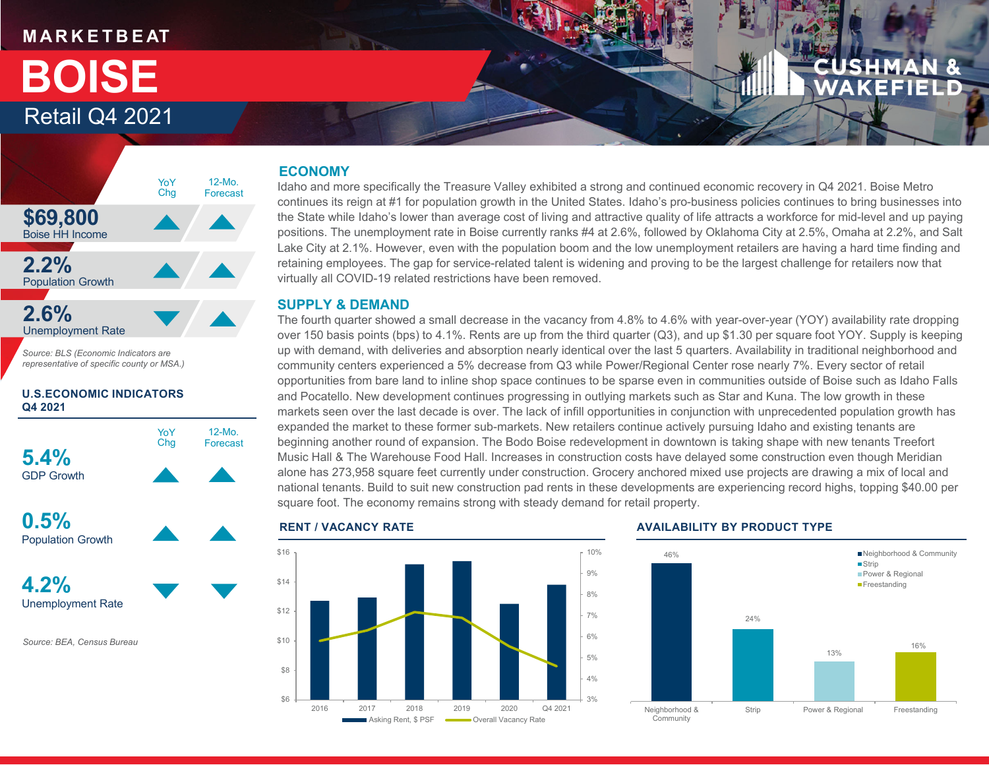# **M A R K E T B E AT**

# Retail Q4 2021 **BOISE**



*Source: BLS (Economic Indicators are representative of specific county or MSA.)*

#### **U.S.ECONOMIC INDICATORS Q4 2021**



**0.5%**Population Growth



*Source: BEA, Census Bureau*

## **ECONOMY**

Idaho and more specifically the Treasure Valley exhibited a strong and continued economic recovery in Q4 2021. Boise Metro continues its reign at #1 for population growth in the United States. Idaho's pro-business policies continues to bring businesses into the State while Idaho's lower than average cost of living and attractive quality of life attracts a workforce for mid-level and up paying positions. The unemployment rate in Boise currently ranks #4 at 2.6%, followed by Oklahoma City at 2.5%, Omaha at 2.2%, and Salt Lake City at 2.1%. However, even with the population boom and the low unemployment retailers are having a hard time finding and retaining employees. The gap for service-related talent is widening and proving to be the largest challenge for retailers now that virtually all COVID-19 related restrictions have been removed.

### **SUPPLY & DEMAND**

The fourth quarter showed a small decrease in the vacancy from 4.8% to 4.6% with year-over-year (YOY) availability rate dropping over 150 basis points (bps) to 4.1%. Rents are up from the third quarter (Q3), and up \$1.30 per square foot YOY. Supply is keeping up with demand, with deliveries and absorption nearly identical over the last 5 quarters. Availability in traditional neighborhood and community centers experienced a 5% decrease from Q3 while Power/Regional Center rose nearly 7%. Every sector of retail opportunities from bare land to inline shop space continues to be sparse even in communities outside of Boise such as Idaho Falls and Pocatello. New development continues progressing in outlying markets such as Star and Kuna. The low growth in these markets seen over the last decade is over. The lack of infill opportunities in conjunction with unprecedented population growth has expanded the market to these former sub-markets. New retailers continue actively pursuing Idaho and existing tenants are beginning another round of expansion. The Bodo Boise redevelopment in downtown is taking shape with new tenants Treefort Music Hall & The Warehouse Food Hall. Increases in construction costs have delayed some construction even though Meridian alone has 273,958 square feet currently under construction. Grocery anchored mixed use projects are drawing a mix of local and national tenants. Build to suit new construction pad rents in these developments are experiencing record highs, topping \$40.00 per square foot. The economy remains strong with steady demand for retail property.



#### **RENT / VACANCY RATE AVAILABILITY BY PRODUCT TYPE**

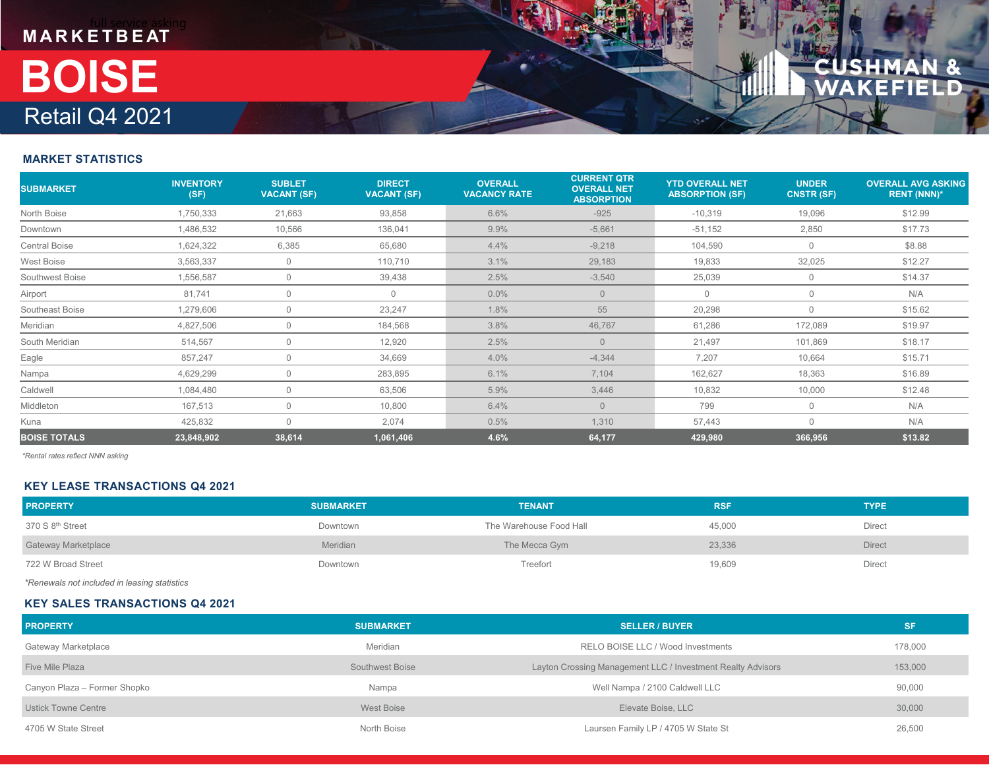

### **MARKET STATISTICS**

| <b>SUBMARKET</b>     | <b>INVENTORY</b><br>(SF) | <b>SUBLET</b><br><b>VACANT (SF)</b> | <b>DIRECT</b><br><b>VACANT (SF)</b> | <b>OVERALL</b><br><b>VACANCY RATE</b> | <b>CURRENT QTR</b><br><b>OVERALL NET</b><br><b>ABSORPTION</b> | <b>YTD OVERALL NET</b><br><b>ABSORPTION (SF)</b> | <b>UNDER</b><br><b>CNSTR (SF)</b> | <b>OVERALL AVG ASKING</b><br><b>RENT (NNN)*</b> |
|----------------------|--------------------------|-------------------------------------|-------------------------------------|---------------------------------------|---------------------------------------------------------------|--------------------------------------------------|-----------------------------------|-------------------------------------------------|
| North Boise          | 1,750,333                | 21,663                              | 93,858                              | 6.6%                                  | $-925$                                                        | $-10,319$                                        | 19,096                            | \$12.99                                         |
| Downtown             | 1,486,532                | 10,566                              | 136,041                             | 9.9%                                  | $-5,661$                                                      | $-51,152$                                        | 2,850                             | \$17.73                                         |
| <b>Central Boise</b> | 1,624,322                | 6,385                               | 65,680                              | 4.4%                                  | $-9,218$                                                      | 104,590                                          | $\overline{0}$                    | \$8.88                                          |
| West Boise           | 3,563,337                | $\Omega$                            | 110,710                             | 3.1%                                  | 29,183                                                        | 19,833                                           | 32,025                            | \$12.27                                         |
| Southwest Boise      | 1,556,587                | $\Omega$                            | 39,438                              | 2.5%                                  | $-3,540$                                                      | 25,039                                           | $\overline{0}$                    | \$14.37                                         |
| Airport              | 81,741                   | $\mathbf 0$                         | $\mathbf{0}$                        | $0.0\%$                               | $\Omega$                                                      | $\Omega$                                         | $\mathbf 0$                       | N/A                                             |
| Southeast Boise      | 1,279,606                | $\Omega$                            | 23,247                              | 1.8%                                  | 55                                                            | 20,298                                           | $\overline{0}$                    | \$15.62                                         |
| Meridian             | 4,827,506                | $\bigcap$                           | 184,568                             | 3.8%                                  | 46,767                                                        | 61,286                                           | 172,089                           | \$19.97                                         |
| South Meridian       | 514,567                  | $\Omega$                            | 12,920                              | 2.5%                                  | $\Omega$                                                      | 21,497                                           | 101,869                           | \$18.17                                         |
| Eagle                | 857,247                  | $\Omega$                            | 34,669                              | 4.0%                                  | $-4,344$                                                      | 7,207                                            | 10,664                            | \$15.71                                         |
| Nampa                | 4,629,299                | $\Omega$                            | 283,895                             | 6.1%                                  | 7,104                                                         | 162,627                                          | 18,363                            | \$16.89                                         |
| Caldwell             | 1,084,480                | 0                                   | 63,506                              | 5.9%                                  | 3,446                                                         | 10,832                                           | 10,000                            | \$12.48                                         |
| Middleton            | 167,513                  | $\Omega$                            | 10,800                              | 6.4%                                  | $\Omega$                                                      | 799                                              | $\mathbf{0}$                      | N/A                                             |
| Kuna                 | 425,832                  | $\bigcap$                           | 2,074                               | 0.5%                                  | 1,310                                                         | 57,443                                           | $\Omega$                          | N/A                                             |
| <b>BOISE TOTALS</b>  | 23,848,902               | 38,614                              | 1,061,406                           | 4.6%                                  | 64,177                                                        | 429,980                                          | 366,956                           | \$13.82                                         |

*\*Rental rates reflect NNN asking*

#### **KEY LEASE TRANSACTIONS Q4 2021**

| <b>PROPERTY</b>              | <b>SUBMARKET</b> | <b>TENANT</b>           | <b>RSF</b> | <b>TYPE</b>   |
|------------------------------|------------------|-------------------------|------------|---------------|
| 370 S 8 <sup>th</sup> Street | Downtown         | The Warehouse Food Hall | 45,000     | Direct        |
| <b>Gateway Marketplace</b>   | Meridian         | The Mecca Gym           | 23,336     | <b>Direct</b> |
| 722 W Broad Street           | Downtown         | Treefort                | 19,609     | Direct        |

*\*Renewals not included in leasing statistics*

#### **KEY SALES TRANSACTIONS Q4 2021**

| <b>PROPERTY</b>              | <b>SUBMARKET</b> | <b>SELLER / BUYER</b>                                       | <b>SF</b> |
|------------------------------|------------------|-------------------------------------------------------------|-----------|
| Gateway Marketplace          | Meridian         | RELO BOISE LLC / Wood Investments                           | 178,000   |
| Five Mile Plaza              | Southwest Boise  | Layton Crossing Management LLC / Investment Realty Advisors | 153,000   |
| Canyon Plaza - Former Shopko | Nampa            | Well Nampa / 2100 Caldwell LLC                              | 90,000    |
| Ustick Towne Centre          | West Boise       | Elevate Boise, LLC                                          | 30,000    |
| 4705 W State Street          | North Boise      | Laursen Family LP / 4705 W State St                         | 26,500    |